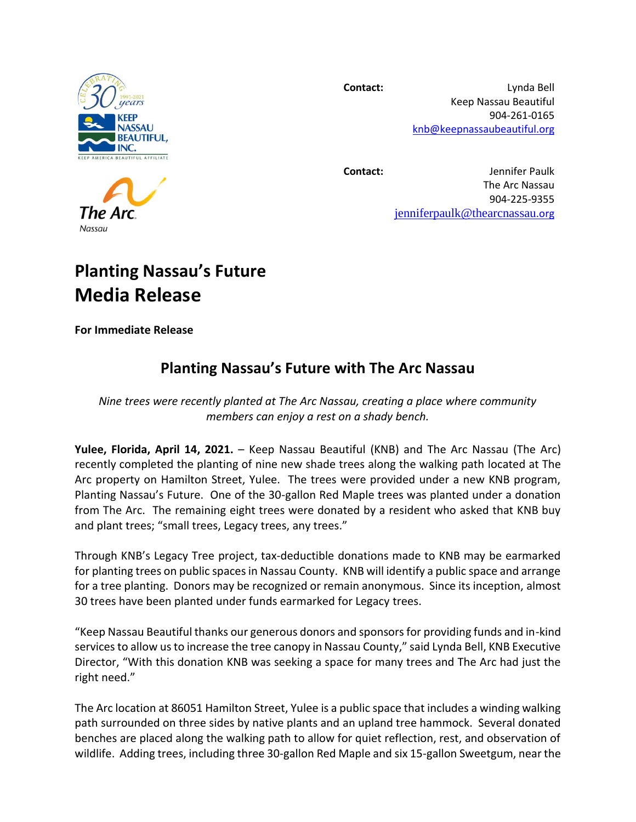

**Contact:** Lynda Bell Keep Nassau Beautiful 904-261-0165 [knb@keepnassaubeautiful.org](mailto:knb@keepnassaubeautiful.org)

**Contact:** Jennifer Paulk

The Arc Nassau 904-225-9355 [jenniferpaulk@thearcnassau](mailto:jenniferpaulk@thearcnassau.org)[.org](mailto:jenniferpaulk@thearcnassau.org)

## **Planting Nassau's Future Media Release**

**For Immediate Release**

## **Planting Nassau's Future with The Arc Nassau**

*Nine trees were recently planted at The Arc Nassau, creating a place where community members can enjoy a rest on a shady bench.* 

**Yulee, Florida, April 14, 2021.** – Keep Nassau Beautiful (KNB) and The Arc Nassau (The Arc) recently completed the planting of nine new shade trees along the walking path located at The Arc property on Hamilton Street, Yulee. The trees were provided under a new KNB program, Planting Nassau's Future. One of the 30-gallon Red Maple trees was planted under a donation from The Arc. The remaining eight trees were donated by a resident who asked that KNB buy and plant trees; "small trees, Legacy trees, any trees."

Through KNB's Legacy Tree project, tax-deductible donations made to KNB may be earmarked for planting trees on public spaces in Nassau County. KNB will identify a public space and arrange for a tree planting. Donors may be recognized or remain anonymous. Since its inception, almost 30 trees have been planted under funds earmarked for Legacy trees.

"Keep Nassau Beautiful thanks our generous donors and sponsors for providing funds and in-kind services to allow us to increase the tree canopy in Nassau County," said Lynda Bell, KNB Executive Director, "With this donation KNB was seeking a space for many trees and The Arc had just the right need."

The Arc location at 86051 Hamilton Street, Yulee is a public space that includes a winding walking path surrounded on three sides by native plants and an upland tree hammock. Several donated benches are placed along the walking path to allow for quiet reflection, rest, and observation of wildlife. Adding trees, including three 30-gallon Red Maple and six 15-gallon Sweetgum, near the

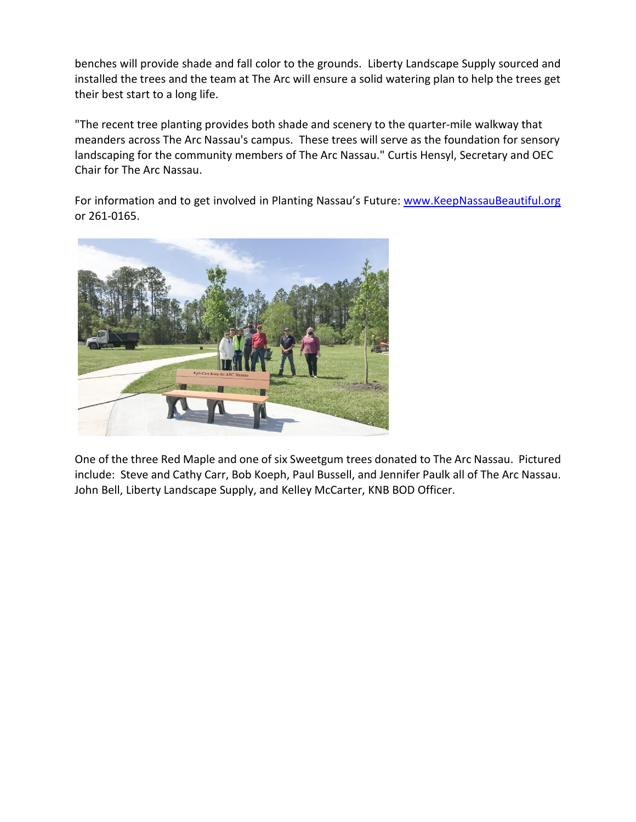benches will provide shade and fall color to the grounds. Liberty Landscape Supply sourced and installed the trees and the team at The Arc will ensure a solid watering plan to help the trees get their best start to a long life.

"The recent tree planting provides both shade and scenery to the quarter-mile walkway that meanders across The Arc Nassau's campus. These trees will serve as the foundation for sensory landscaping for the community members of The Arc Nassau." Curtis Hensyl, Secretary and OEC Chair for The Arc Nassau.

For information and to get involved in Planting Nassau's Future: [www.KeepNassauBeautiful.org](http://www.keepnassaubeautiful.org/) or 261-0165.



One of the three Red Maple and one of six Sweetgum trees donated to The Arc Nassau. Pictured include: Steve and Cathy Carr, Bob Koeph, Paul Bussell, and Jennifer Paulk all of The Arc Nassau. John Bell, Liberty Landscape Supply, and Kelley McCarter, KNB BOD Officer.